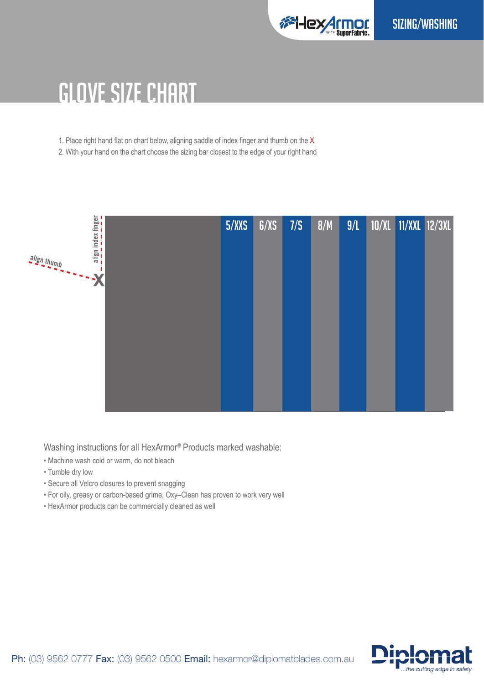

## GLOVE SIZE CHART

1. Place right hand flat on chart below, aligning saddle of index finger and thumb on the  $X$ 

2. With your hand on the chart choose the sizing bar closest to the edge of your right hand



Washing instructions for all HexArmor® Products marked washable:

- Machine wash cold or warm, do not bleach
- Tumble dry low
- Secure all Velcro closures to prevent snagging
- For oily, greasy or carbon-based grime, Oxy–Clean has proven to work very well
- HexArmor products can be commercially cleaned as well